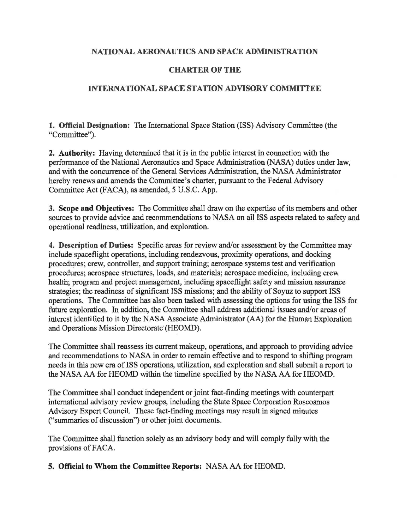## **NATIONAL AERONAUTICS AND SPACE ADMINISTRATION**

## **CHARTER OF THE**

## **INTERNATIONAL SPACE STATION ADVISORY COMMITTEE**

**1. Official Designation:** The International Space Station (ISS) Advisory Committee (the "Committee").

**2. Authority:** Having determined that it is in the public interest in connection with the performance of the National Aeronautics and Space Administration (NASA) duties under law, and with the concurrence of the General Services Administration, the NASA Administrator hereby renews and amends the Committee's charter, pursuant to the Federal Advisory Committee Act (FACA), as amended, 5 U.S.C. App.

**3. Scope and Objectives:** The Committee shall draw on the expertise of its members and other sources to provide advice and recommendations to NASA on all ISS aspects related to safety and operational readiness, utilization, and exploration.

**4. Description of Duties:** Specific areas for review and/or assessment by the Committee may include spaceflight operations, including rendezvous, proximity operations, and docking procedures; crew, controller, and support training; aerospace systems test and verification procedures; aerospace structures, loads, and materials; aerospace medicine, including crew health; program and project management, including spaceflight safety and mission assurance strategies; the readiness of significant ISS missions; and the ability of Soyuz to support ISS operations. The Committee has also been tasked with assessing the options for using the ISS for future exploration. In addition, the Committee shall address additional issues and/or areas of interest identified to it by the NASA Associate Administrator (AA) for the Human Exploration and Operations Mission Directorate (HEOMD).

The Committee shall reassess its current makeup, operations, and approach to providing advice and recommendations to NASA in order to remain effective and to respond to shifting program needs in this new era of ISS operations, utilization, and exploration and shall submit a report to the NASA AA for HEOMD within the timeline specified by the NASA AA for HEOMD.

The Committee shall conduct independent or joint fact-finding meetings with counterpart international advisory review groups, including the State Space Corporation Roscosmos Advisory Expert Council. These fact-finding meetings may result in signed minutes ("summaries of discussion") or other joint documents.

The Committee shall function solely as an advisory body and will comply fully with the provisions of FACA.

**5. Official to Whom the Committee Reports:** NASA AA for HEOMD.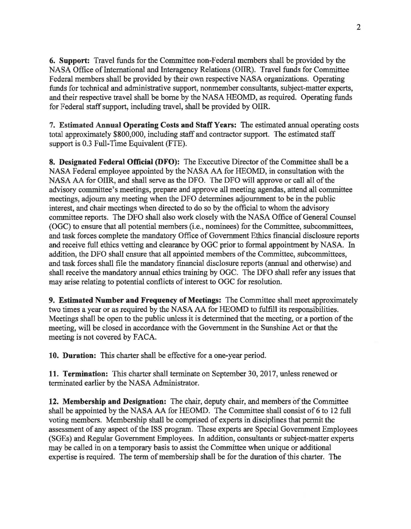6. Support: Travel funds for the Committee non-Federal members shall be provided by the NASA Office of International and Interagency Relations (OIIR). Travel funds for Committee Federal members shall be provided by their own respective NASA organizations. Operating funds for technical and administrative support, nonmember consultants, subject-matter experts, and their respective travel shall be borne by the NASA HEOMD, as required. Operating funds for Federal staff support, including travel, shall be provided by OUR.

7. Estimated Annual Operating Costs and Staff Years: The estimated annual operating costs total approximately \$800,000, including staff and contractor support. The estimated staff support is 0.3 Full-Time Equivalent (FTE).

8. Designated Federal Official (DFO): The Executive Director of the Committee shall be a NASA Federal employee appointed by the NASA AA for HEOMD, in consultation with the NASA AA for OIIR, and shall serve as the DFO. The DFO will approve or call all of the advisory committee's meetings, prepare and approve all meeting agendas, attend all committee meetings, adjourn any meeting when the DFO determines adjournment to be in the public interest, and chair meetings when directed to do so by the official to whom the advisory committee reports. The DFO shall also work closely with the NASA Office of General Counsel (OGC) to ensure that all potential members (i.e., nominees) for the Committee, subcommittees, and task forces complete the mandatory Office of Government Ethics financial disclosure reports and receive full ethics vetting and clearance by OGC prior to formal appointment by NASA. In addition, the DFO shall ensure that all appointed members of the Committee, subcommittees, and task forces shall file the mandatory financial disclosure reports (annual and otherwise) and shall receive the mandatory annual ethics training by OGC. The DFO shall refer any issues that may arise relating to potential conflicts of interest to OGC for resolution.

9. Estimated Number and Frequency of Meetings: The Committee shall meet approximately two times a year or as required by the NASA AA for HEOMD to fulfill its responsibilities. Meetings shall be open to the public unless it is determined that the meeting, or a portion of the meeting, will be closed in accordance with the Government in the Sunshine Act or that the meeting is not covered by FACA.

10. Duration: This charter shall be effective for a one-year period.

11. Termination: This charter shall terminate on September 30, 2017, unless renewed or terminated earlier by the NASA Administrator.

12. Membership and Designation: The chair, deputy chair, and members of the Committee shall be appointed by the NASA AA for HEOMD. The Committee shall consist of 6 to 12 full voting members. Membership shall be comprised of experts in disciplines that permit the assessment of any aspect of the ISS program. These experts are Special Government Employees (SGEs) and Regular Government Employees. In addition, consultants or subject-matter experts may be called in on a temporary basis to assist the Committee when unique or additional expertise is required. The term of membership shall be for the duration of this charter. The